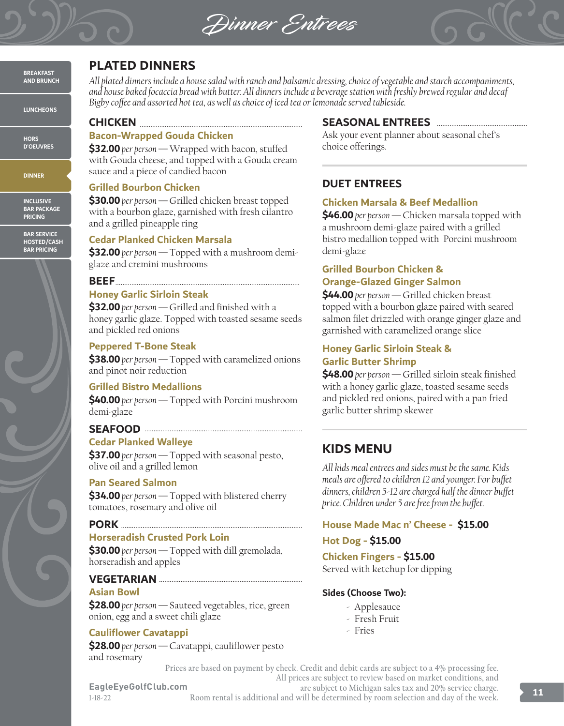Dinner Entrees



**BREAKFAST AND BRUNCH**

**LUNCHEONS**

**HORS D'OEUVRES**

**DINNER**

**INCLUSIVE BAR PACKAGE PRICING**

**BAR SERVICE HOSTED/CASH BAR PRICING**



# **PLATED DINNERS**

*All plated dinners include a house salad with ranch and balsamic dressing, choice of vegetable and starch accompaniments, and house baked focaccia bread with butter. All dinners include a beverage station with freshly brewed regular and decaf Bigby coffee and assorted hot tea, as well as choice of iced tea or lemonade served tableside.*

**CHICKEN** 

### **Bacon-Wrapped Gouda Chicken**

**\$32.00** *per person —* Wrapped with bacon, stuffed with Gouda cheese, and topped with a Gouda cream sauce and a piece of candied bacon

### **Grilled Bourbon Chicken**

**\$30.00** *per person —* Grilled chicken breast topped with a bourbon glaze, garnished with fresh cilantro and a grilled pineapple ring

### **Cedar Planked Chicken Marsala**

**\$32.00** *per person —* Topped with a mushroom demiglaze and cremini mushrooms

### **BEEF**

### **Honey Garlic Sirloin Steak**

**\$32.00** *per person —* Grilled and finished with a honey garlic glaze. Topped with toasted sesame seeds and pickled red onions

### **Peppered T-Bone Steak**

**\$38.00** *per person —* Topped with caramelized onions and pinot noir reduction

### **Grilled Bistro Medallions**

**\$40.00** *per person —* Topped with Porcini mushroom demi-glaze

### **SEAFOOD**

### **Cedar Planked Walleye**

**\$37.00** *per person —* Topped with seasonal pesto, olive oil and a grilled lemon

### **Pan Seared Salmon**

**\$34.00** *per person —* Topped with blistered cherry tomatoes, rosemary and olive oil

### **PORK**

### **Horseradish Crusted Pork Loin**

**\$30.00** *per person —* Topped with dill gremolada, horseradish and apples

### **VEGETARIAN**

### **Asian Bowl**

**\$28.00** *per person —* Sauteed vegetables, rice, green onion, egg and a sweet chili glaze

### **Cauliflower Cavatappi**

**\$28.00** *per person —* Cavatappi, cauliflower pesto and rosemary

### **SEASONAL ENTREES**

Ask your event planner about seasonal chef's choice offerings.

### **DUET ENTREES**

### **Chicken Marsala & Beef Medallion**

**\$46.00** *per person —* Chicken marsala topped with a mushroom demi-glaze paired with a grilled bistro medallion topped with Porcini mushroom demi-glaze

# **Grilled Bourbon Chicken &**

### **Orange-Glazed Ginger Salmon**

**\$44.00** *per person —* Grilled chicken breast topped with a bourbon glaze paired with seared salmon filet drizzled with orange ginger glaze and garnished with caramelized orange slice

### **Honey Garlic Sirloin Steak & Garlic Butter Shrimp**

**\$48.00** *per person —* Grilled sirloin steak finished with a honey garlic glaze, toasted sesame seeds and pickled red onions, paired with a pan fried garlic butter shrimp skewer

# **KIDS MENU**

*All kids meal entrees and sides must be the same. Kids meals are offered to children 12 and younger. For buffet dinners, children 5-12 are charged half the dinner buffet price. Children under 5 are free from the buffet.*

### **House Made Mac n' Cheese - \$15.00**

### **Hot Dog - \$15.00**

**Chicken Fingers - \$15.00** Served with ketchup for dipping

### **Sides (Choose Two):**

- Applesauce
- Fresh Fruit
- Fries

**Prices are based on payment by check. Credit and debit cards are subject to a 4% processing fee. All prices are subject to review based on market conditions, and** 

**EagleEyeGolfClub.com 1-18-22**

**are subject to Michigan sales tax and 20% service charge. Room rental is additional and will be determined by room selection and day of the week.**